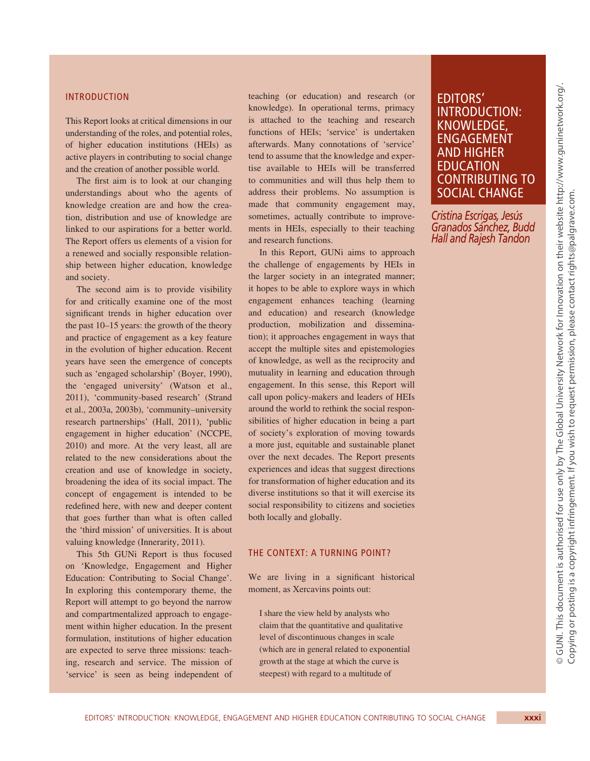#### INTRODUCTION

This Report looks at critical dimensions in our understanding of the roles, and potential roles, of higher education institutions (HEIs) as active players in contributing to social change and the creation of another possible world.

The first aim is to look at our changing understandings about who the agents of knowledge creation are and how the creation, distribution and use of knowledge are linked to our aspirations for a better world. The Report offers us elements of a vision for a renewed and socially responsible relationship between higher education, knowledge and society.

The second aim is to provide visibility for and critically examine one of the most significant trends in higher education over the past 10–15 years: the growth of the theory and practice of engagement as a key feature in the evolution of higher education. Recent years have seen the emergence of concepts such as 'engaged scholarship' (Boyer, 1990), the 'engaged university' (Watson et al., 2011), 'community-based research' (Strand et al., 2003a, 2003b), 'community–university research partnerships' (Hall, 2011), 'public engagement in higher education' (NCCPE, 2010) and more. At the very least, all are related to the new considerations about the creation and use of knowledge in society, broadening the idea of its social impact. The concept of engagement is intended to be redefined here, with new and deeper content that goes further than what is often called the 'third mission' of universities. It is about valuing knowledge (Innerarity, 2011).

This 5th GUNi Report is thus focused on 'Knowledge, Engagement and Higher Education: Contributing to Social Change'. In exploring this contemporary theme, the Report will attempt to go beyond the narrow and compartmentalized approach to engagement within higher education. In the present formulation, institutions of higher education are expected to serve three missions: teaching, research and service. The mission of 'service' is seen as being independent of

teaching (or education) and research (or knowledge). In operational terms, primacy is attached to the teaching and research functions of HEIs; 'service' is undertaken afterwards. Many connotations of 'service' tend to assume that the knowledge and expertise available to HEIs will be transferred to communities and will thus help them to address their problems. No assumption is made that community engagement may, sometimes, actually contribute to improvements in HEIs, especially to their teaching and research functions.

In this Report, GUNi aims to approach the challenge of engagements by HEIs in the larger society in an integrated manner; it hopes to be able to explore ways in which engagement enhances teaching (learning and education) and research (knowledge production, mobilization and dissemination); it approaches engagement in ways that accept the multiple sites and epistemologies of knowledge, as well as the reciprocity and mutuality in learning and education through engagement. In this sense, this Report will call upon policy-makers and leaders of HEIs around the world to rethink the social responsibilities of higher education in being a part of society's exploration of moving towards a more just, equitable and sustainable planet over the next decades. The Report presents experiences and ideas that suggest directions for transformation of higher education and its diverse institutions so that it will exercise its social responsibility to citizens and societies both locally and globally.

### THE CONTEXT: A TURNING POINT?

We are living in a significant historical moment, as Xercavins points out:

I share the view held by analysts who claim that the quantitative and qualitative level of discontinuous changes in scale (which are in general related to exponential growth at the stage at which the curve is steepest) with regard to a multitude of

# EDITORS' INTRODUCTION: KNOWLEDGE, ENGAGEMENT AND HIGHER EDUCATION CONTRIBUTING TO SOCIAL CHANGE

*Cristina Escrigas, Jesús Granados Sánchez, Budd Hall and Rajesh Tandon*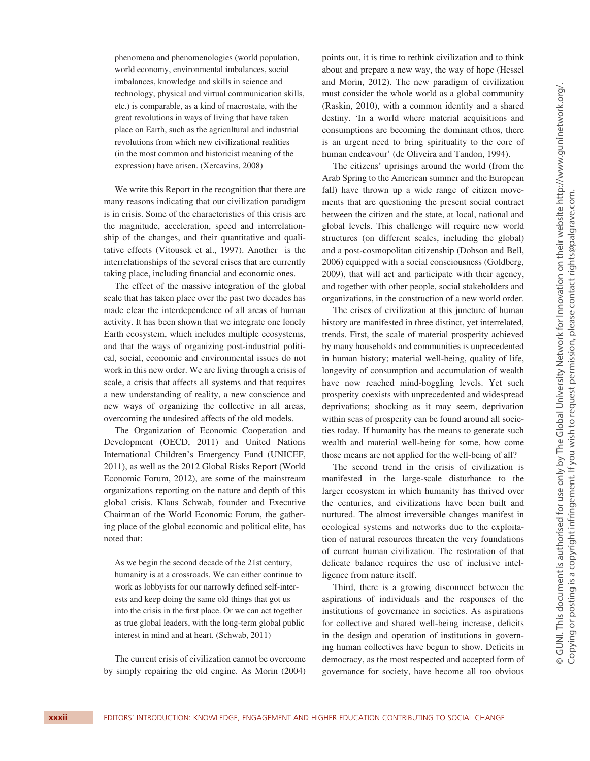phenomena and phenomenologies (world population, world economy, environmental imbalances, social imbalances, knowledge and skills in science and technology, physical and virtual communication skills, etc.) is comparable, as a kind of macrostate, with the great revolutions in ways of living that have taken place on Earth, such as the agricultural and industrial revolutions from which new civilizational realities (in the most common and historicist meaning of the expression) have arisen. (Xercavins, 2008)

We write this Report in the recognition that there are many reasons indicating that our civilization paradigm is in crisis. Some of the characteristics of this crisis are the magnitude, acceleration, speed and interrelationship of the changes, and their quantitative and qualitative effects (Vitousek et al., 1997). Another is the interrelationships of the several crises that are currently taking place, including financial and economic ones.

The effect of the massive integration of the global scale that has taken place over the past two decades has made clear the interdependence of all areas of human activity. It has been shown that we integrate one lonely Earth ecosystem, which includes multiple ecosystems, and that the ways of organizing post-industrial political, social, economic and environmental issues do not work in this new order. We are living through a crisis of scale, a crisis that affects all systems and that requires a new understanding of reality, a new conscience and new ways of organizing the collective in all areas, overcoming the undesired affects of the old models.

The Organization of Economic Cooperation and Development (OECD, 2011) and United Nations International Children's Emergency Fund (UNICEF, 2011), as well as the 2012 Global Risks Report (World Economic Forum, 2012), are some of the mainstream organizations reporting on the nature and depth of this global crisis. Klaus Schwab, founder and Executive Chairman of the World Economic Forum, the gathering place of the global economic and political elite, has noted that:

As we begin the second decade of the 21st century, humanity is at a crossroads. We can either continue to work as lobbyists for our narrowly defined self-interests and keep doing the same old things that got us into the crisis in the first place. Or we can act together as true global leaders, with the long-term global public interest in mind and at heart. (Schwab, 2011)

The current crisis of civilization cannot be overcome by simply repairing the old engine. As Morin (2004) points out, it is time to rethink civilization and to think about and prepare a new way, the way of hope (Hessel and Morin, 2012). The new paradigm of civilization must consider the whole world as a global community (Raskin, 2010), with a common identity and a shared destiny. 'In a world where material acquisitions and consumptions are becoming the dominant ethos, there is an urgent need to bring spirituality to the core of human endeavour' (de Oliveira and Tandon, 1994).

The citizens' uprisings around the world (from the Arab Spring to the American summer and the European fall) have thrown up a wide range of citizen movements that are questioning the present social contract between the citizen and the state, at local, national and global levels. This challenge will require new world structures (on different scales, including the global) and a post-cosmopolitan citizenship (Dobson and Bell, 2006) equipped with a social consciousness (Goldberg, 2009), that will act and participate with their agency, and together with other people, social stakeholders and organizations, in the construction of a new world order.

The crises of civilization at this juncture of human history are manifested in three distinct, yet interrelated, trends. First, the scale of material prosperity achieved by many households and communities is unprecedented in human history; material well-being, quality of life, longevity of consumption and accumulation of wealth have now reached mind-boggling levels. Yet such prosperity coexists with unprecedented and widespread deprivations; shocking as it may seem, deprivation within seas of prosperity can be found around all societies today. If humanity has the means to generate such wealth and material well-being for some, how come those means are not applied for the well-being of all?

The second trend in the crisis of civilization is manifested in the large-scale disturbance to the larger ecosystem in which humanity has thrived over the centuries, and civilizations have been built and nurtured. The almost irreversible changes manifest in ecological systems and networks due to the exploitation of natural resources threaten the very foundations of current human civilization. The restoration of that delicate balance requires the use of inclusive intelligence from nature itself.

Third, there is a growing disconnect between the aspirations of individuals and the responses of the institutions of governance in societies. As aspirations for collective and shared well-being increase, deficits in the design and operation of institutions in governing human collectives have begun to show. Deficits in democracy, as the most respected and accepted form of governance for society, have become all too obvious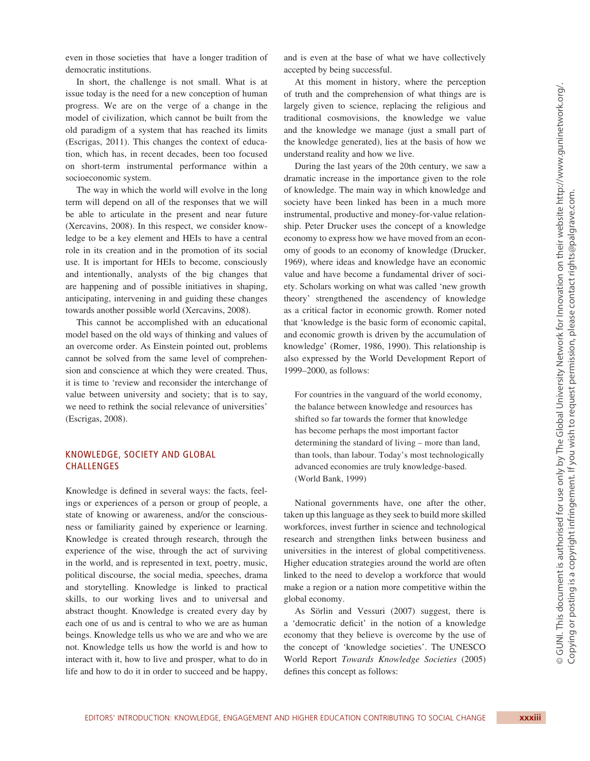even in those societies that have a longer tradition of democratic institutions.

In short, the challenge is not small. What is at issue today is the need for a new conception of human progress. We are on the verge of a change in the model of civilization, which cannot be built from the old paradigm of a system that has reached its limits (Escrigas, 2011). This changes the context of education, which has, in recent decades, been too focused on short-term instrumental performance within a socioeconomic system.

The way in which the world will evolve in the long term will depend on all of the responses that we will be able to articulate in the present and near future (Xercavins, 2008). In this respect, we consider knowledge to be a key element and HEIs to have a central role in its creation and in the promotion of its social use. It is important for HEIs to become, consciously and intentionally, analysts of the big changes that are happening and of possible initiatives in shaping, anticipating, intervening in and guiding these changes towards another possible world (Xercavins, 2008).

This cannot be accomplished with an educational model based on the old ways of thinking and values of an overcome order. As Einstein pointed out, problems cannot be solved from the same level of comprehension and conscience at which they were created. Thus, it is time to 'review and reconsider the interchange of value between university and society; that is to say, we need to rethink the social relevance of universities' (Escrigas, 2008).

## KNOWLEDGE, SOCIETY AND GLOBAL CHALLENGES

Knowledge is defined in several ways: the facts, feelings or experiences of a person or group of people, a state of knowing or awareness, and/or the consciousness or familiarity gained by experience or learning. Knowledge is created through research, through the experience of the wise, through the act of surviving in the world, and is represented in text, poetry, music, political discourse, the social media, speeches, drama and storytelling. Knowledge is linked to practical skills, to our working lives and to universal and abstract thought. Knowledge is created every day by each one of us and is central to who we are as human beings. Knowledge tells us who we are and who we are not. Knowledge tells us how the world is and how to interact with it, how to live and prosper, what to do in life and how to do it in order to succeed and be happy,

and is even at the base of what we have collectively accepted by being successful.

At this moment in history, where the perception of truth and the comprehension of what things are is largely given to science, replacing the religious and traditional cosmovisions, the knowledge we value and the knowledge we manage (just a small part of the knowledge generated), lies at the basis of how we understand reality and how we live.

During the last years of the 20th century, we saw a dramatic increase in the importance given to the role of knowledge. The main way in which knowledge and society have been linked has been in a much more instrumental, productive and money-for-value relationship. Peter Drucker uses the concept of a knowledge economy to express how we have moved from an economy of goods to an economy of knowledge (Drucker, 1969), where ideas and knowledge have an economic value and have become a fundamental driver of society. Scholars working on what was called 'new growth theory' strengthened the ascendency of knowledge as a critical factor in economic growth. Romer noted that 'knowledge is the basic form of economic capital, and economic growth is driven by the accumulation of knowledge' (Romer, 1986, 1990). This relationship is also expressed by the World Development Report of 1999–2000, as follows:

For countries in the vanguard of the world economy, the balance between knowledge and resources has shifted so far towards the former that knowledge has become perhaps the most important factor determining the standard of living – more than land, than tools, than labour. Today's most technologically advanced economies are truly knowledge-based. (World Bank, 1999)

National governments have, one after the other, taken up this language as they seek to build more skilled workforces, invest further in science and technological research and strengthen links between business and universities in the interest of global competitiveness. Higher education strategies around the world are often linked to the need to develop a workforce that would make a region or a nation more competitive within the global economy.

As Sörlin and Vessuri (2007) suggest, there is a 'democratic deficit' in the notion of a knowledge economy that they believe is overcome by the use of the concept of 'knowledge societies'. The UNESCO World Report *Towards Knowledge Societies* (2005) defines this concept as follows: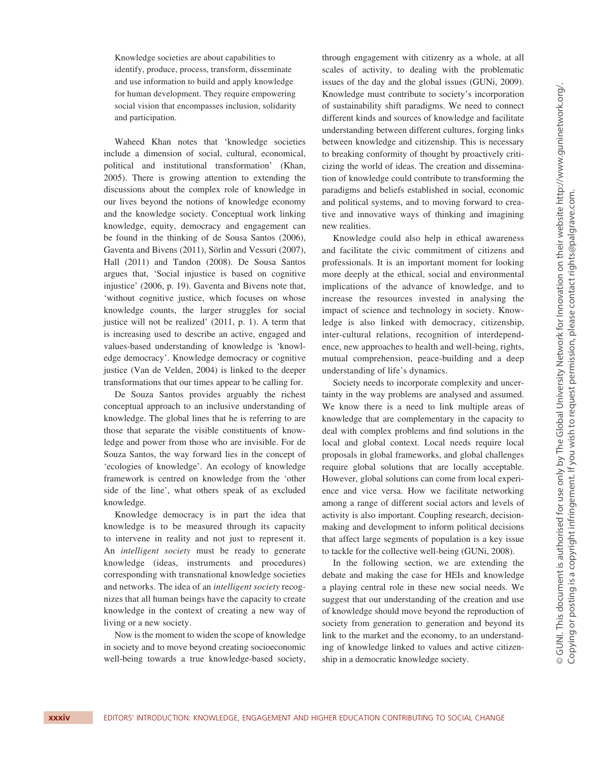Knowledge societies are about capabilities to identify, produce, process, transform, disseminate and use information to build and apply knowledge for human development. They require empowering social vision that encompasses inclusion, solidarity and participation.

Waheed Khan notes that 'knowledge societies include a dimension of social, cultural, economical, political and institutional transformation' (Khan, 2005). There is growing attention to extending the discussions about the complex role of knowledge in our lives beyond the notions of knowledge economy and the knowledge society. Conceptual work linking knowledge, equity, democracy and engagement can be found in the thinking of de Sousa Santos (2006), Gaventa and Bivens (2011), Sörlin and Vessuri (2007), Hall (2011) and Tandon (2008). De Sousa Santos argues that, 'Social injustice is based on cognitive injustice' (2006, p. 19). Gaventa and Bivens note that, 'without cognitive justice, which focuses on whose knowledge counts, the larger struggles for social justice will not be realized' (2011, p. 1). A term that is increasing used to describe an active, engaged and values-based understanding of knowledge is 'knowledge democracy'. Knowledge democracy or cognitive justice (Van de Velden, 2004) is linked to the deeper transformations that our times appear to be calling for.

De Souza Santos provides arguably the richest conceptual approach to an inclusive understanding of knowledge. The global lines that he is referring to are those that separate the visible constituents of knowledge and power from those who are invisible. For de Souza Santos, the way forward lies in the concept of 'ecologies of knowledge'. An ecology of knowledge framework is centred on knowledge from the 'other side of the line', what others speak of as excluded knowledge.

Knowledge democracy is in part the idea that knowledge is to be measured through its capacity to intervene in reality and not just to represent it. An *intelligent society* must be ready to generate knowledge (ideas, instruments and procedures) corresponding with transnational knowledge societies and networks. The idea of an *intelligent society* recognizes that all human beings have the capacity to create knowledge in the context of creating a new way of living or a new society.

Now is the moment to widen the scope of knowledge in society and to move beyond creating socioeconomic well-being towards a true knowledge-based society, through engagement with citizenry as a whole, at all scales of activity, to dealing with the problematic issues of the day and the global issues (GUNi, 2009). Knowledge must contribute to society's incorporation of sustainability shift paradigms. We need to connect different kinds and sources of knowledge and facilitate understanding between different cultures, forging links between knowledge and citizenship. This is necessary to breaking conformity of thought by proactively criticizing the world of ideas. The creation and dissemination of knowledge could contribute to transforming the paradigms and beliefs established in social, economic and political systems, and to moving forward to creative and innovative ways of thinking and imagining new realities.

Knowledge could also help in ethical awareness and facilitate the civic commitment of citizens and professionals. It is an important moment for looking more deeply at the ethical, social and environmental implications of the advance of knowledge, and to increase the resources invested in analysing the impact of science and technology in society. Knowledge is also linked with democracy, citizenship, inter-cultural relations, recognition of interdependence, new approaches to health and well-being, rights, mutual comprehension, peace-building and a deep understanding of life's dynamics.

Society needs to incorporate complexity and uncertainty in the way problems are analysed and assumed. We know there is a need to link multiple areas of knowledge that are complementary in the capacity to deal with complex problems and find solutions in the local and global context. Local needs require local proposals in global frameworks, and global challenges require global solutions that are locally acceptable. However, global solutions can come from local experience and vice versa. How we facilitate networking among a range of different social actors and levels of activity is also important. Coupling research, decisionmaking and development to inform political decisions that affect large segments of population is a key issue to tackle for the collective well-being (GUNi, 2008).

In the following section, we are extending the debate and making the case for HEIs and knowledge a playing central role in these new social needs. We suggest that our understanding of the creation and use of knowledge should move beyond the reproduction of society from generation to generation and beyond its link to the market and the economy, to an understanding of knowledge linked to values and active citizenship in a democratic knowledge society.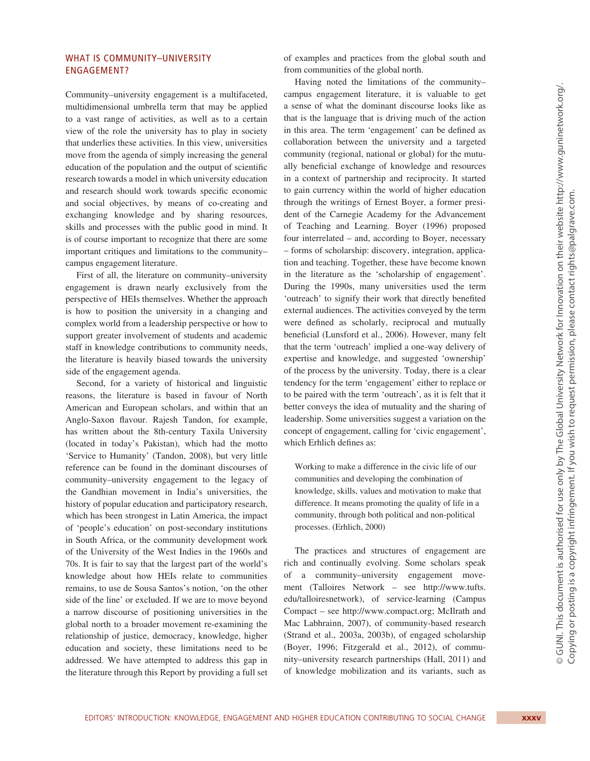## WHAT IS COMMUNITY–UNIVERSITY ENGAGEMENT?

Community–university engagement is a multifaceted, multidimensional umbrella term that may be applied to a vast range of activities, as well as to a certain view of the role the university has to play in society that underlies these activities. In this view, universities move from the agenda of simply increasing the general education of the population and the output of scientific research towards a model in which university education and research should work towards specific economic and social objectives, by means of co-creating and exchanging knowledge and by sharing resources, skills and processes with the public good in mind. It is of course important to recognize that there are some important critiques and limitations to the community– campus engagement literature.

First of all, the literature on community–university engagement is drawn nearly exclusively from the perspective of HEIs themselves. Whether the approach is how to position the university in a changing and complex world from a leadership perspective or how to support greater involvement of students and academic staff in knowledge contributions to community needs, the literature is heavily biased towards the university side of the engagement agenda.

Second, for a variety of historical and linguistic reasons, the literature is based in favour of North American and European scholars, and within that an Anglo-Saxon flavour. Rajesh Tandon, for example, has written about the 8th-century Taxila University (located in today's Pakistan), which had the motto 'Service to Humanity' (Tandon, 2008), but very little reference can be found in the dominant discourses of community–university engagement to the legacy of the Gandhian movement in India's universities, the history of popular education and participatory research, which has been strongest in Latin America, the impact of 'people's education' on post-secondary institutions in South Africa, or the community development work of the University of the West Indies in the 1960s and 70s. It is fair to say that the largest part of the world's knowledge about how HEIs relate to communities remains, to use de Sousa Santos's notion, 'on the other side of the line' or excluded. If we are to move beyond a narrow discourse of positioning universities in the global north to a broader movement re-examining the relationship of justice, democracy, knowledge, higher education and society, these limitations need to be addressed. We have attempted to address this gap in the literature through this Report by providing a full set

of examples and practices from the global south and from communities of the global north.

Having noted the limitations of the community– campus engagement literature, it is valuable to get a sense of what the dominant discourse looks like as that is the language that is driving much of the action in this area. The term 'engagement' can be defined as collaboration between the university and a targeted community (regional, national or global) for the mutually beneficial exchange of knowledge and resources in a context of partnership and reciprocity. It started to gain currency within the world of higher education through the writings of Ernest Boyer, a former president of the Carnegie Academy for the Advancement of Teaching and Learning. Boyer (1996) proposed four interrelated – and, according to Boyer, necessary – forms of scholarship: discovery, integration, application and teaching. Together, these have become known in the literature as the 'scholarship of engagement'. During the 1990s, many universities used the term 'outreach' to signify their work that directly benefited external audiences. The activities conveyed by the term were defined as scholarly, reciprocal and mutually beneficial (Lunsford et al., 2006). However, many felt that the term 'outreach' implied a one-way delivery of expertise and knowledge, and suggested 'ownership' of the process by the university. Today, there is a clear tendency for the term 'engagement' either to replace or to be paired with the term 'outreach', as it is felt that it better conveys the idea of mutuality and the sharing of leadership. Some universities suggest a variation on the concept of engagement, calling for 'civic engagement', which Erhlich defines as:

Working to make a difference in the civic life of our communities and developing the combination of knowledge, skills, values and motivation to make that difference. It means promoting the quality of life in a community, through both political and non-political processes. (Erhlich, 2000)

The practices and structures of engagement are rich and continually evolving. Some scholars speak of a community–university engagement movement (Talloires Network – see http://www.tufts. edu/talloiresnetwork), of service-learning (Campus Compact – see http://www.compact.org; McIlrath and Mac Labhrainn, 2007), of community-based research (Strand et al., 2003a, 2003b), of engaged scholarship (Boyer, 1996; Fitzgerald et al., 2012), of community–university research partnerships (Hall, 2011) and of knowledge mobilization and its variants, such as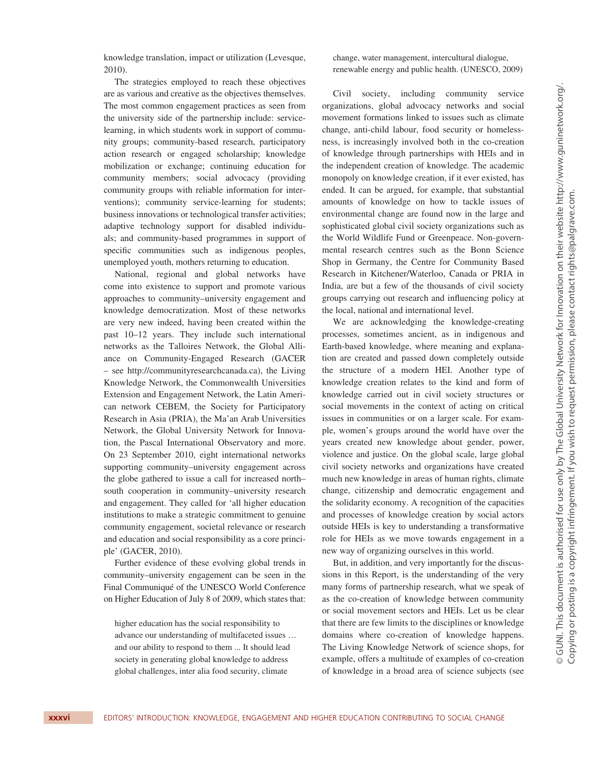knowledge translation, impact or utilization (Levesque, 2010).

The strategies employed to reach these objectives are as various and creative as the objectives themselves. The most common engagement practices as seen from the university side of the partnership include: servicelearning, in which students work in support of community groups; community-based research, participatory action research or engaged scholarship; knowledge mobilization or exchange; continuing education for community members; social advocacy (providing community groups with reliable information for interventions); community service-learning for students; business innovations or technological transfer activities; adaptive technology support for disabled individuals; and community-based programmes in support of specific communities such as indigenous peoples, unemployed youth, mothers returning to education.

National, regional and global networks have come into existence to support and promote various approaches to community–university engagement and knowledge democratization. Most of these networks are very new indeed, having been created within the past 10–12 years. They include such international networks as the Talloires Network, the Global Alliance on Community-Engaged Research (GACER – see http://communityresearchcanada.ca), the Living Knowledge Network, the Commonwealth Universities Extension and Engagement Network, the Latin American network CEBEM, the Society for Participatory Research in Asia (PRIA), the Ma'an Arab Universities Network, the Global University Network for Innovation, the Pascal International Observatory and more. On 23 September 2010, eight international networks supporting community–university engagement across the globe gathered to issue a call for increased north– south cooperation in community–university research and engagement. They called for 'all higher education institutions to make a strategic commitment to genuine community engagement, societal relevance or research and education and social responsibility as a core principle' (GACER, 2010).

Further evidence of these evolving global trends in community–university engagement can be seen in the Final Communiqué of the UNESCO World Conference on Higher Education of July 8 of 2009, which states that:

higher education has the social responsibility to advance our understanding of multifaceted issues … and our ability to respond to them ... It should lead society in generating global knowledge to address global challenges, inter alia food security, climate

change, water management, intercultural dialogue, renewable energy and public health. (UNESCO, 2009)

Civil society, including community service organizations, global advocacy networks and social movement formations linked to issues such as climate change, anti-child labour, food security or homelessness, is increasingly involved both in the co-creation of knowledge through partnerships with HEIs and in the independent creation of knowledge. The academic monopoly on knowledge creation, if it ever existed, has ended. It can be argued, for example, that substantial amounts of knowledge on how to tackle issues of environmental change are found now in the large and sophisticated global civil society organizations such as the World Wildlife Fund or Greenpeace. Non-governmental research centres such as the Bonn Science Shop in Germany, the Centre for Community Based Research in Kitchener/Waterloo, Canada or PRIA in India, are but a few of the thousands of civil society groups carrying out research and influencing policy at the local, national and international level.

We are acknowledging the knowledge-creating processes, sometimes ancient, as in indigenous and Earth-based knowledge, where meaning and explanation are created and passed down completely outside the structure of a modern HEI. Another type of knowledge creation relates to the kind and form of knowledge carried out in civil society structures or social movements in the context of acting on critical issues in communities or on a larger scale. For example, women's groups around the world have over the years created new knowledge about gender, power, violence and justice. On the global scale, large global civil society networks and organizations have created much new knowledge in areas of human rights, climate change, citizenship and democratic engagement and the solidarity economy. A recognition of the capacities and processes of knowledge creation by social actors outside HEIs is key to understanding a transformative role for HEIs as we move towards engagement in a new way of organizing ourselves in this world.

But, in addition, and very importantly for the discussions in this Report, is the understanding of the very many forms of partnership research, what we speak of as the co-creation of knowledge between community or social movement sectors and HEIs. Let us be clear that there are few limits to the disciplines or knowledge domains where co-creation of knowledge happens. The Living Knowledge Network of science shops, for example, offers a multitude of examples of co-creation of knowledge in a broad area of science subjects (see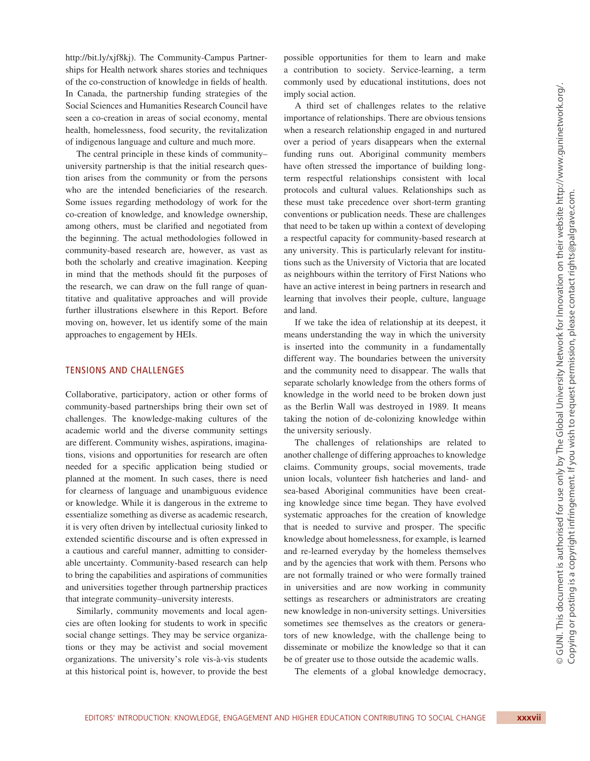http://bit.ly/xjf8kj). The Community-Campus Partnerships for Health network shares stories and techniques of the co-construction of knowledge in fields of health. In Canada, the partnership funding strategies of the Social Sciences and Humanities Research Council have seen a co-creation in areas of social economy, mental health, homelessness, food security, the revitalization of indigenous language and culture and much more.

The central principle in these kinds of community– university partnership is that the initial research question arises from the community or from the persons who are the intended beneficiaries of the research. Some issues regarding methodology of work for the co-creation of knowledge, and knowledge ownership, among others, must be clarified and negotiated from the beginning. The actual methodologies followed in community-based research are, however, as vast as both the scholarly and creative imagination. Keeping in mind that the methods should fit the purposes of the research, we can draw on the full range of quantitative and qualitative approaches and will provide further illustrations elsewhere in this Report. Before moving on, however, let us identify some of the main approaches to engagement by HEIs.

#### TENSIONS AND CHALLENGES

Collaborative, participatory, action or other forms of community-based partnerships bring their own set of challenges. The knowledge-making cultures of the academic world and the diverse community settings are different. Community wishes, aspirations, imaginations, visions and opportunities for research are often needed for a specific application being studied or planned at the moment. In such cases, there is need for clearness of language and unambiguous evidence or knowledge. While it is dangerous in the extreme to essentialize something as diverse as academic research, it is very often driven by intellectual curiosity linked to extended scientific discourse and is often expressed in a cautious and careful manner, admitting to considerable uncertainty. Community-based research can help to bring the capabilities and aspirations of communities and universities together through partnership practices that integrate community–university interests.

Similarly, community movements and local agencies are often looking for students to work in specific social change settings. They may be service organizations or they may be activist and social movement organizations. The university's role vis-à-vis students at this historical point is, however, to provide the best

possible opportunities for them to learn and make a contribution to society. Service-learning, a term commonly used by educational institutions, does not imply social action.

A third set of challenges relates to the relative importance of relationships. There are obvious tensions when a research relationship engaged in and nurtured over a period of years disappears when the external funding runs out. Aboriginal community members have often stressed the importance of building longterm respectful relationships consistent with local protocols and cultural values. Relationships such as these must take precedence over short-term granting conventions or publication needs. These are challenges that need to be taken up within a context of developing a respectful capacity for community-based research at any university. This is particularly relevant for institutions such as the University of Victoria that are located as neighbours within the territory of First Nations who have an active interest in being partners in research and learning that involves their people, culture, language and land.

If we take the idea of relationship at its deepest, it means understanding the way in which the university is inserted into the community in a fundamentally different way. The boundaries between the university and the community need to disappear. The walls that separate scholarly knowledge from the others forms of knowledge in the world need to be broken down just as the Berlin Wall was destroyed in 1989. It means taking the notion of de-colonizing knowledge within the university seriously.

The challenges of relationships are related to another challenge of differing approaches to knowledge claims. Community groups, social movements, trade union locals, volunteer fish hatcheries and land- and sea-based Aboriginal communities have been creating knowledge since time began. They have evolved systematic approaches for the creation of knowledge that is needed to survive and prosper. The specific knowledge about homelessness, for example, is learned and re-learned everyday by the homeless themselves and by the agencies that work with them. Persons who are not formally trained or who were formally trained in universities and are now working in community settings as researchers or administrators are creating new knowledge in non-university settings. Universities sometimes see themselves as the creators or generators of new knowledge, with the challenge being to disseminate or mobilize the knowledge so that it can be of greater use to those outside the academic walls.

The elements of a global knowledge democracy,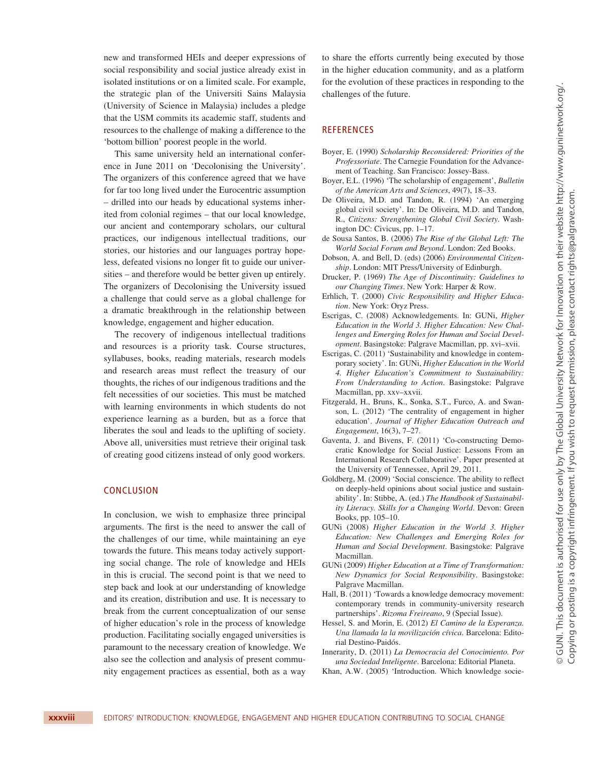new and transformed HEIs and deeper expressions of social responsibility and social justice already exist in isolated institutions or on a limited scale. For example, the strategic plan of the Universiti Sains Malaysia (University of Science in Malaysia) includes a pledge that the USM commits its academic staff, students and resources to the challenge of making a difference to the 'bottom billion' poorest people in the world.

This same university held an international conference in June 2011 on 'Decolonising the University'. The organizers of this conference agreed that we have for far too long lived under the Eurocentric assumption – drilled into our heads by educational systems inherited from colonial regimes – that our local knowledge, our ancient and contemporary scholars, our cultural practices, our indigenous intellectual traditions, our stories, our histories and our languages portray hopeless, defeated visions no longer fit to guide our universities – and therefore would be better given up entirely. The organizers of Decolonising the University issued a challenge that could serve as a global challenge for a dramatic breakthrough in the relationship between knowledge, engagement and higher education.

The recovery of indigenous intellectual traditions and resources is a priority task. Course structures, syllabuses, books, reading materials, research models and research areas must reflect the treasury of our thoughts, the riches of our indigenous traditions and the felt necessities of our societies. This must be matched with learning environments in which students do not experience learning as a burden, but as a force that liberates the soul and leads to the uplifting of society. Above all, universities must retrieve their original task of creating good citizens instead of only good workers.

## CONCLUSION

In conclusion, we wish to emphasize three principal arguments. The first is the need to answer the call of the challenges of our time, while maintaining an eye towards the future. This means today actively supporting social change. The role of knowledge and HEIs in this is crucial. The second point is that we need to step back and look at our understanding of knowledge and its creation, distribution and use. It is necessary to break from the current conceptualization of our sense of higher education's role in the process of knowledge production. Facilitating socially engaged universities is paramount to the necessary creation of knowledge. We also see the collection and analysis of present community engagement practices as essential, both as a way to share the efforts currently being executed by those in the higher education community, and as a platform for the evolution of these practices in responding to the challenges of the future.

## **REFERENCES**

- Boyer, E. (1990) *Scholarship Reconsidered: Priorities of the Professoriate*. The Carnegie Foundation for the Advancement of Teaching. San Francisco: Jossey-Bass.
- Boyer, E.L. (1996) 'The scholarship of engagement', *Bulletin of the American Arts and Sciences*, 49(7), 18–33.
- De Oliveira, M.D. and Tandon, R. (1994) 'An emerging global civil society'. In: De Oliveira, M.D. and Tandon, R., *Citizens: Strengthening Global Civil Society*. Washington DC: Civicus, pp. 1–17.
- de Sousa Santos, B. (2006) *The Rise of the Global Left: The World Social Forum and Beyond*. London: Zed Books.
- Dobson, A. and Bell, D. (eds) (2006) *Environmental Citizenship*. London: MIT Press/University of Edinburgh.
- Drucker, P. (1969) *The Age of Discontinuity: Guidelines to our Changing Times*. New York: Harper & Row.
- Erhlich, T. (2000) *Civic Responsibility and Higher Education*. New York: Oryz Press.
- Escrigas, C. (2008) Acknowledgements. In: GUNi, *Higher Education in the World 3. Higher Education: New Challenges and Emerging Roles for Human and Social Development*. Basingstoke: Palgrave Macmillan, pp. xvi–xvii.
- Escrigas, C. (2011) 'Sustainability and knowledge in contemporary society'. In: GUNi, *Higher Education in the World 4. Higher Education's Commitment to Sustainability: From Understanding to Action*. Basingstoke: Palgrave Macmillan, pp. xxv–xxvii.
- Fitzgerald, H., Bruns, K., Sonka, S.T., Furco, A. and Swanson, L. (2012) 'The centrality of engagement in higher education'. *Journal of Higher Education Outreach and Engagement*, 16(3), 7–27.
- Gaventa, J. and Bivens, F. (2011) 'Co-constructing Democratic Knowledge for Social Justice: Lessons From an International Research Collaborative'. Paper presented at the University of Tennessee, April 29, 2011.
- Goldberg, M. (2009) 'Social conscience. The ability to reflect on deeply-held opinions about social justice and sustainability'. In: Stibbe, A. (ed.) *The Handbook of Sustainability Literacy. Skills for a Changing World*. Devon: Green Books, pp. 105–10.
- GUNi (2008) *Higher Education in the World 3. Higher Education: New Challenges and Emerging Roles for Human and Social Development*. Basingstoke: Palgrave Macmillan.
- GUNi (2009) *Higher Education at a Time of Transformation: New Dynamics for Social Responsibility*. Basingstoke: Palgrave Macmillan.
- Hall, B. (2011) 'Towards a knowledge democracy movement: contemporary trends in community-university research partnerships'. *Rizoma Freireano*, 9 (Special Issue).
- Hessel, S. and Morin, E. (2012) *El Camino de la Esperanza. Una llamada la la movilización cívica*. Barcelona: Editorial Destino-Paidós.
- Innerarity, D. (2011) *La Democracia del Conocimiento. Por una Sociedad Inteligente*. Barcelona: Editorial Planeta.
- Khan, A.W. (2005) 'Introduction. Which knowledge socie-